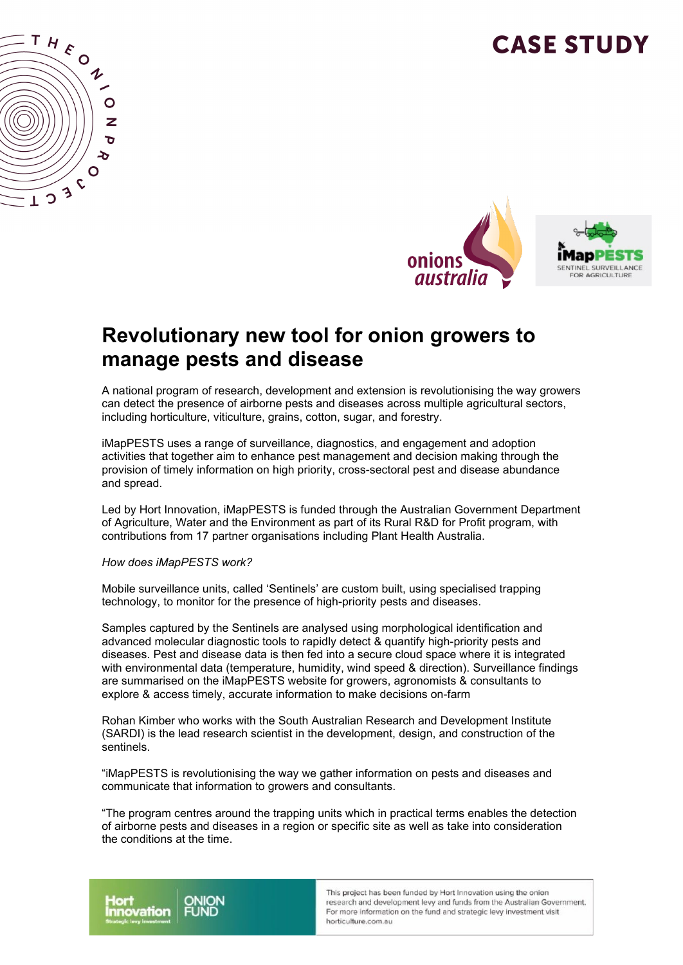# **CASE STUDY**





#### **Revolutionary new tool for onion growers to manage pests and disease**

A national program of research, development and extension is revolutionising the way growers can detect the presence of airborne pests and diseases across multiple agricultural sectors, including horticulture, viticulture, grains, cotton, sugar, and forestry.

iMapPESTS uses a range of surveillance, diagnostics, and engagement and adoption activities that together aim to enhance pest management and decision making through the provision of timely information on high priority, cross-sectoral pest and disease abundance and spread.

Led by Hort Innovation, iMapPESTS is funded through the Australian Government Department of Agriculture, Water and the Environment as part of its Rural R&D for Profit program, with contributions from 17 partner organisations including Plant Health Australia.

#### *How does iMapPESTS work?*

Mobile surveillance units, called 'Sentinels' are custom built, using specialised trapping technology, to monitor for the presence of high-priority pests and diseases.

Samples captured by the Sentinels are analysed using morphological identification and advanced molecular diagnostic tools to rapidly detect & quantify high-priority pests and diseases. Pest and disease data is then fed into a secure cloud space where it is integrated with environmental data (temperature, humidity, wind speed & direction). Surveillance findings are summarised on the iMapPESTS website for growers, agronomists & consultants to explore & access timely, accurate information to make decisions on-farm

Rohan Kimber who works with the South Australian Research and Development Institute (SARDI) is the lead research scientist in the development, design, and construction of the sentinels.

"iMapPESTS is revolutionising the way we gather information on pests and diseases and communicate that information to growers and consultants.

"The program centres around the trapping units which in practical terms enables the detection of airborne pests and diseases in a region or specific site as well as take into consideration the conditions at the time.



This project has been funded by Hort Innovation using the onion research and development levy and funds from the Australian Government. For more information on the fund and strategic levy investment visit horticulture.com.au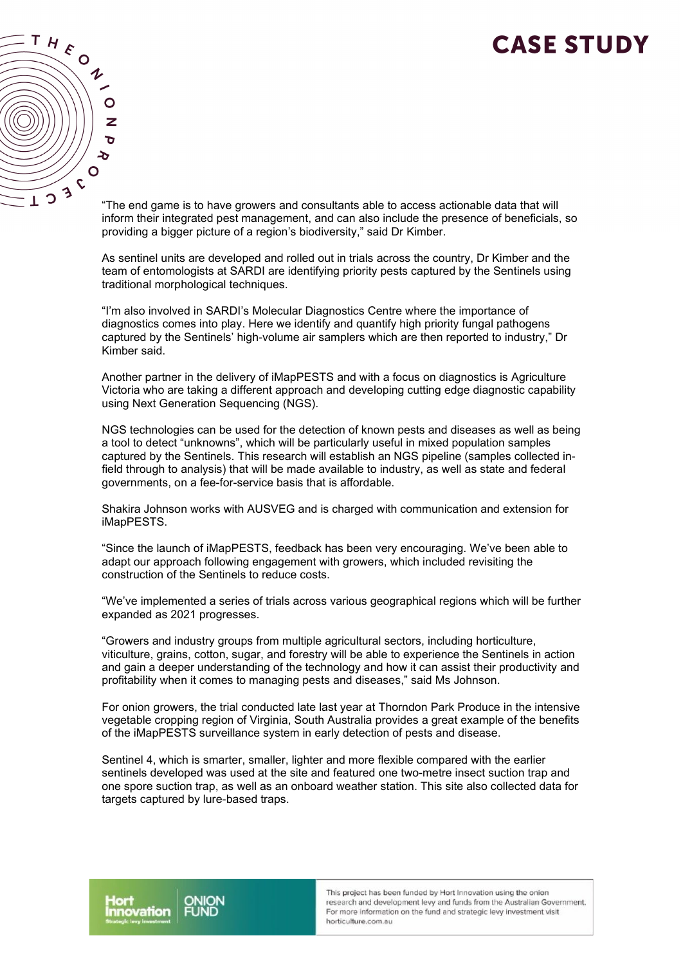### **CASE STUDY**



"The end game is to have growers and consultants able to access actionable data that will inform their integrated pest management, and can also include the presence of beneficials, so providing a bigger picture of a region's biodiversity," said Dr Kimber.

As sentinel units are developed and rolled out in trials across the country, Dr Kimber and the team of entomologists at SARDI are identifying priority pests captured by the Sentinels using traditional morphological techniques.

"I'm also involved in SARDI's Molecular Diagnostics Centre where the importance of diagnostics comes into play. Here we identify and quantify high priority fungal pathogens captured by the Sentinels' high-volume air samplers which are then reported to industry," Dr Kimber said.

Another partner in the delivery of iMapPESTS and with a focus on diagnostics is Agriculture Victoria who are taking a different approach and developing cutting edge diagnostic capability using Next Generation Sequencing (NGS).

NGS technologies can be used for the detection of known pests and diseases as well as being a tool to detect "unknowns", which will be particularly useful in mixed population samples captured by the Sentinels. This research will establish an NGS pipeline (samples collected infield through to analysis) that will be made available to industry, as well as state and federal governments, on a fee-for-service basis that is affordable.

Shakira Johnson works with AUSVEG and is charged with communication and extension for iMapPESTS.

"Since the launch of iMapPESTS, feedback has been very encouraging. We've been able to adapt our approach following engagement with growers, which included revisiting the construction of the Sentinels to reduce costs.

"We've implemented a series of trials across various geographical regions which will be further expanded as 2021 progresses.

"Growers and industry groups from multiple agricultural sectors, including horticulture, viticulture, grains, cotton, sugar, and forestry will be able to experience the Sentinels in action and gain a deeper understanding of the technology and how it can assist their productivity and profitability when it comes to managing pests and diseases," said Ms Johnson.

For onion growers, the trial conducted late last year at Thorndon Park Produce in the intensive vegetable cropping region of Virginia, South Australia provides a great example of the benefits of the iMapPESTS surveillance system in early detection of pests and disease.

Sentinel 4, which is smarter, smaller, lighter and more flexible compared with the earlier sentinels developed was used at the site and featured one two-metre insect suction trap and one spore suction trap, as well as an onboard weather station. This site also collected data for targets captured by lure-based traps.

This project has been funded by Hort Innovation using the onion research and development levy and funds from the Australian Government. For more information on the fund and strategic levy investment visit horticulture.com.au